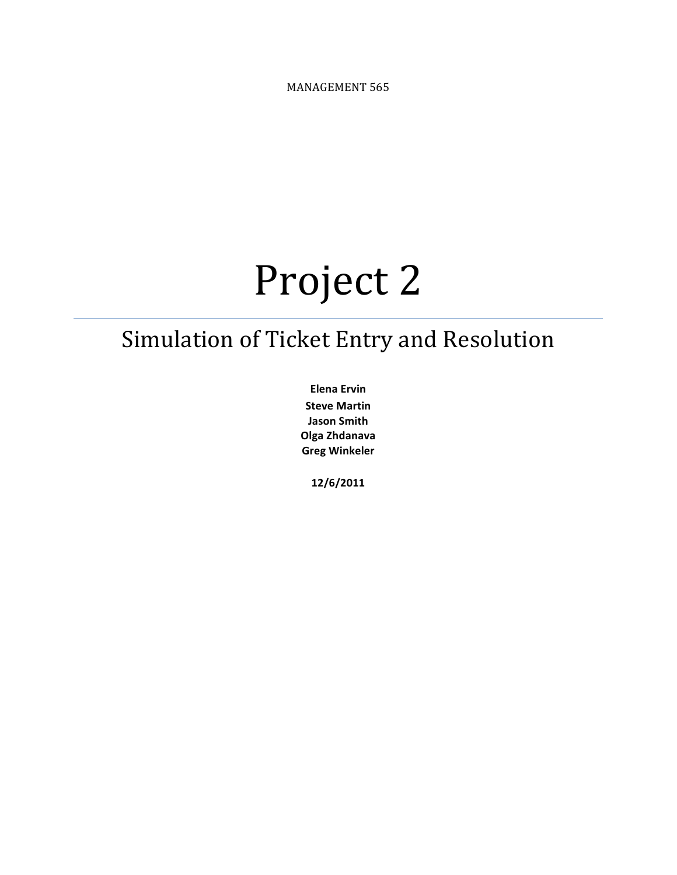MANAGEMENT 565

# Project 2

## Simulation of Ticket Entry and Resolution

**Elena Ervin Steve Martin Jason Smith Olga&Zhdanava Greg&Winkeler**

**12/6/2011**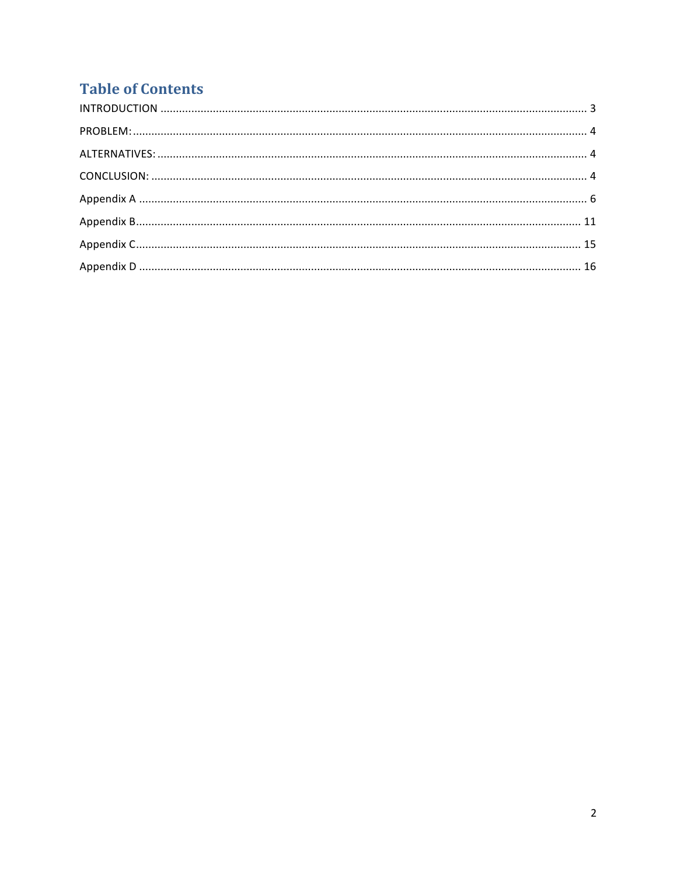## **Table of Contents**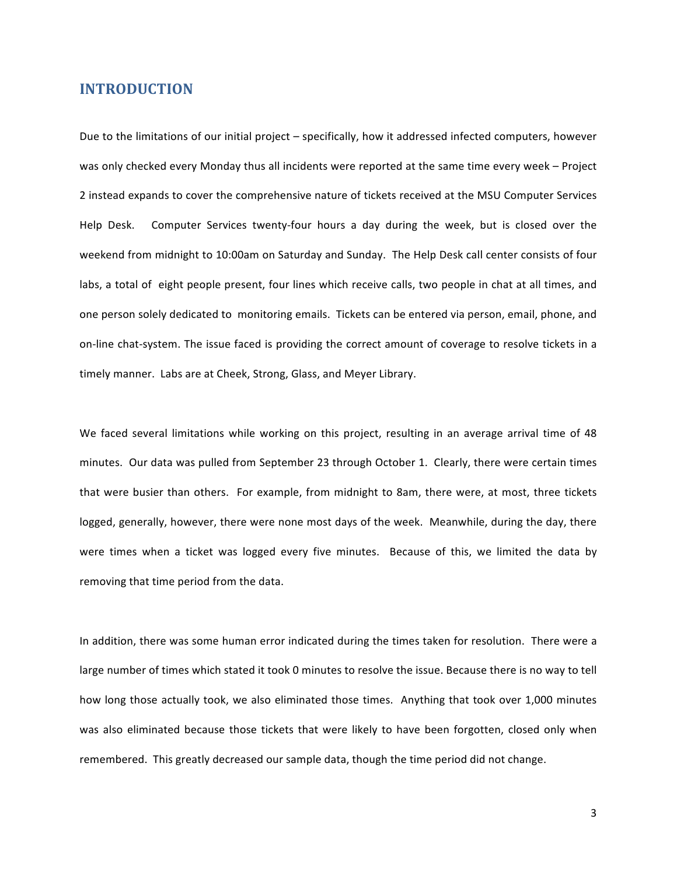#### **INTRODUCTION**

Due to the limitations of our initial project – specifically, how it addressed infected computers, however was only checked every Monday thus all incidents were reported at the same time every week – Project 2 instead expands to cover the comprehensive nature of tickets received at the MSU Computer Services Help Desk. Computer Services twenty-four hours a day during the week, but is closed over the weekend from midnight to 10:00am on Saturday and Sunday. The Help Desk call center consists of four labs, a total of eight people present, four lines which receive calls, two people in chat at all times, and one person solely dedicated to monitoring emails. Tickets can be entered via person, email, phone, and on-line chat-system. The issue faced is providing the correct amount of coverage to resolve tickets in a timely manner. Labs are at Cheek, Strong, Glass, and Meyer Library.

We faced several limitations while working on this project, resulting in an average arrival time of 48 minutes. Our data was pulled from September 23 through October 1. Clearly, there were certain times that were busier than others. For example, from midnight to 8am, there were, at most, three tickets logged, generally, however, there were none most days of the week. Meanwhile, during the day, there were times when a ticket was logged every five minutes. Because of this, we limited the data by removing that time period from the data.

In addition, there was some human error indicated during the times taken for resolution. There were a large number of times which stated it took 0 minutes to resolve the issue. Because there is no way to tell how long those actually took, we also eliminated those times. Anything that took over 1,000 minutes was also eliminated because those tickets that were likely to have been forgotten, closed only when remembered. This greatly decreased our sample data, though the time period did not change.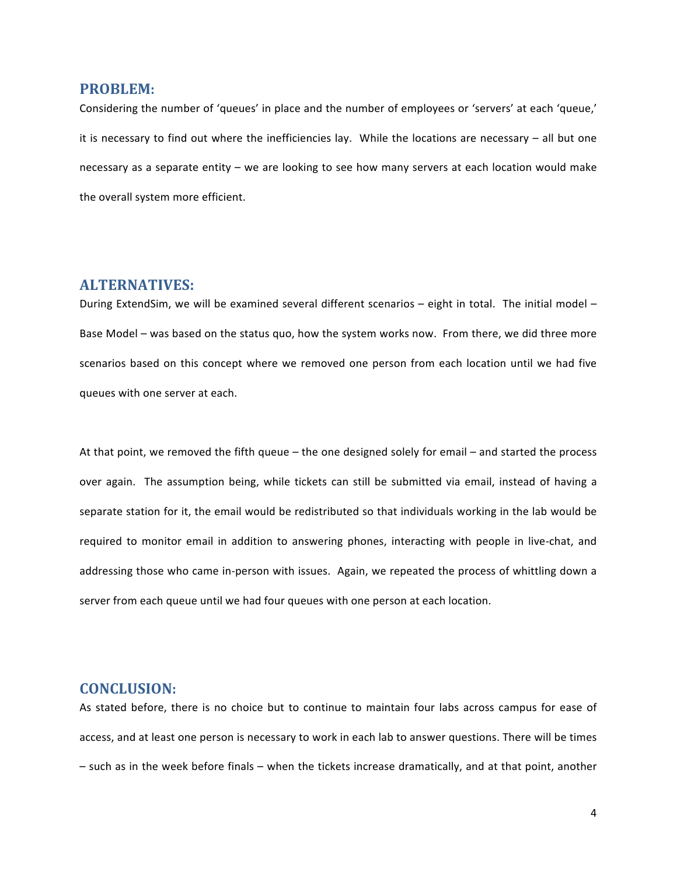#### **PROBLEM:**

Considering the number of 'queues' in place and the number of employees or 'servers' at each 'queue,' it is necessary to find out where the inefficiencies lay. While the locations are necessary – all but one necessary as a separate entity – we are looking to see how many servers at each location would make the overall system more efficient.

#### **ALTERNATIVES:**

During ExtendSim, we will be examined several different scenarios – eight in total. The initial model – Base Model – was based on the status quo, how the system works now. From there, we did three more scenarios based on this concept where we removed one person from each location until we had five queues with one server at each.

At that point, we removed the fifth queue – the one designed solely for email – and started the process over again. The assumption being, while tickets can still be submitted via email, instead of having a separate station for it, the email would be redistributed so that individuals working in the lab would be required to monitor email in addition to answering phones, interacting with people in live-chat, and addressing those who came in-person with issues. Again, we repeated the process of whittling down a server from each queue until we had four queues with one person at each location.

#### **CONCLUSION:**

As stated before, there is no choice but to continue to maintain four labs across campus for ease of access, and at least one person is necessary to work in each lab to answer questions. There will be times – such as in the week before finals – when the tickets increase dramatically, and at that point, another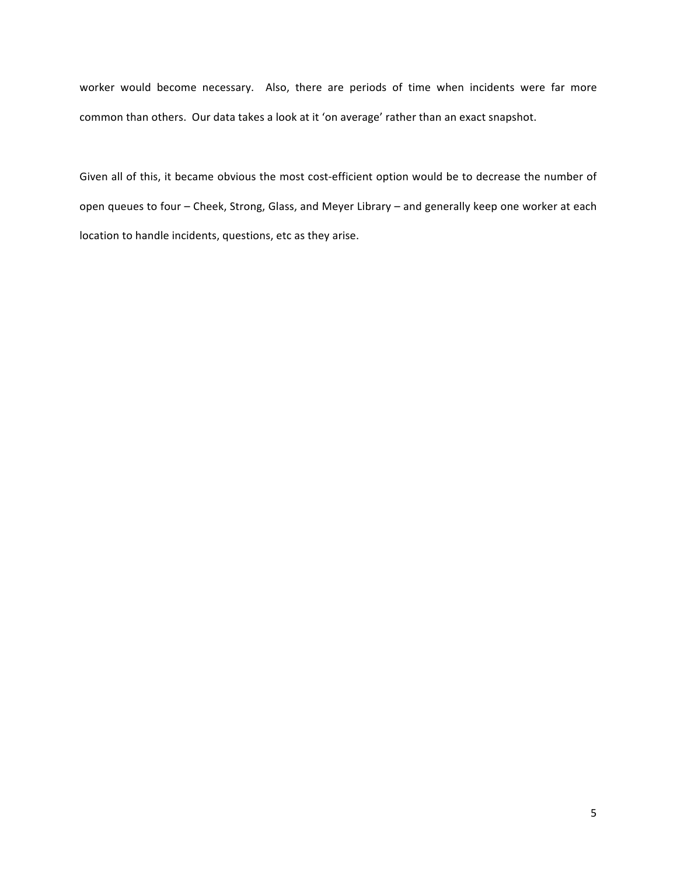worker would become necessary. Also, there are periods of time when incidents were far more common than others. Our data takes a look at it 'on average' rather than an exact snapshot.

Given all of this, it became obvious the most cost-efficient option would be to decrease the number of open queues to four – Cheek, Strong, Glass, and Meyer Library – and generally keep one worker at each location to handle incidents, questions, etc as they arise.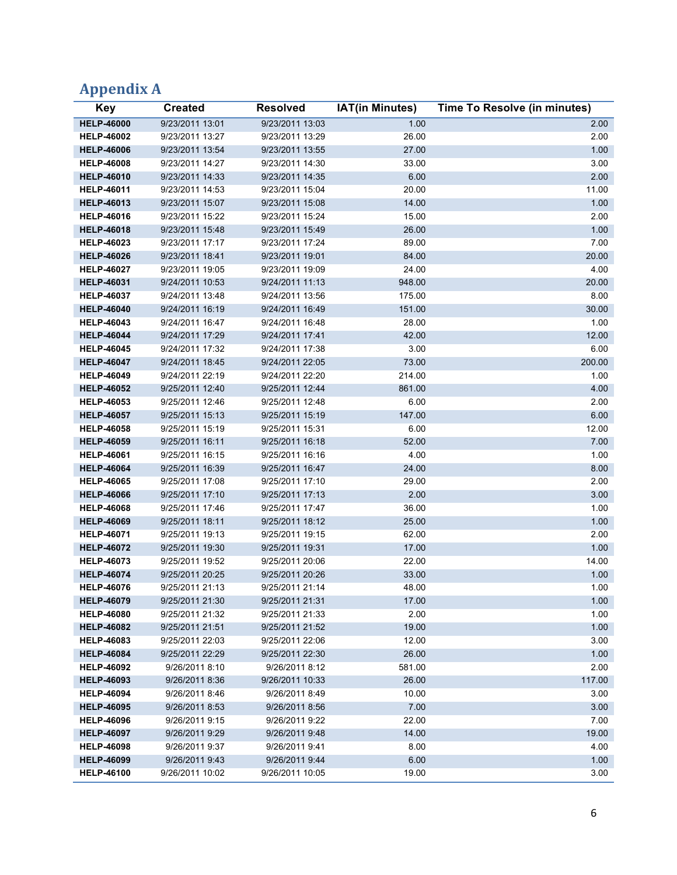## **Appendix!A**

| <b>Key</b>                             | <b>Created</b>                     | <b>Resolved</b>                    | <b>IAT(in Minutes)</b> | <b>Time To Resolve (in minutes)</b> |
|----------------------------------------|------------------------------------|------------------------------------|------------------------|-------------------------------------|
| <b>HELP-46000</b>                      | 9/23/2011 13:01                    | 9/23/2011 13:03                    | 1.00                   | 2.00                                |
| <b>HELP-46002</b>                      | 9/23/2011 13:27                    | 9/23/2011 13:29                    | 26.00                  | 2.00                                |
| <b>HELP-46006</b>                      | 9/23/2011 13:54                    | 9/23/2011 13:55                    | 27.00                  | 1.00                                |
| <b>HELP-46008</b>                      | 9/23/2011 14:27                    | 9/23/2011 14:30                    | 33.00                  | 3.00                                |
| <b>HELP-46010</b>                      | 9/23/2011 14:33                    | 9/23/2011 14:35                    | 6.00                   | 2.00                                |
| <b>HELP-46011</b>                      | 9/23/2011 14:53                    | 9/23/2011 15:04                    | 20.00                  | 11.00                               |
| <b>HELP-46013</b>                      | 9/23/2011 15:07                    | 9/23/2011 15:08                    | 14.00                  | 1.00                                |
| <b>HELP-46016</b>                      | 9/23/2011 15:22                    | 9/23/2011 15:24                    | 15.00                  | 2.00                                |
| <b>HELP-46018</b>                      | 9/23/2011 15:48                    | 9/23/2011 15:49                    | 26.00                  | 1.00                                |
| <b>HELP-46023</b>                      | 9/23/2011 17:17                    | 9/23/2011 17:24                    | 89.00                  | 7.00                                |
| <b>HELP-46026</b>                      | 9/23/2011 18:41                    | 9/23/2011 19:01                    | 84.00                  | 20.00                               |
| <b>HELP-46027</b>                      | 9/23/2011 19:05                    | 9/23/2011 19:09                    | 24.00                  | 4.00                                |
| <b>HELP-46031</b>                      | 9/24/2011 10:53                    | 9/24/2011 11:13                    | 948.00                 | 20.00                               |
| <b>HELP-46037</b>                      | 9/24/2011 13:48                    | 9/24/2011 13:56                    | 175.00                 | 8.00                                |
| <b>HELP-46040</b>                      | 9/24/2011 16:19                    | 9/24/2011 16:49                    | 151.00                 | 30.00                               |
| <b>HELP-46043</b>                      | 9/24/2011 16:47                    | 9/24/2011 16:48                    | 28.00                  | 1.00                                |
| <b>HELP-46044</b>                      | 9/24/2011 17:29                    | 9/24/2011 17:41                    | 42.00                  | 12.00                               |
| <b>HELP-46045</b>                      | 9/24/2011 17:32                    | 9/24/2011 17:38                    | 3.00                   | 6.00                                |
| <b>HELP-46047</b>                      | 9/24/2011 18:45                    | 9/24/2011 22:05                    | 73.00                  | 200.00                              |
| <b>HELP-46049</b>                      | 9/24/2011 22:19                    | 9/24/2011 22:20                    | 214.00                 | 1.00                                |
| <b>HELP-46052</b>                      | 9/25/2011 12:40                    | 9/25/2011 12:44                    | 861.00                 | 4.00                                |
| <b>HELP-46053</b>                      | 9/25/2011 12:46                    | 9/25/2011 12:48                    | 6.00                   | 2.00                                |
| <b>HELP-46057</b>                      | 9/25/2011 15:13                    | 9/25/2011 15:19                    | 147.00                 | 6.00                                |
| <b>HELP-46058</b>                      | 9/25/2011 15:19                    | 9/25/2011 15:31                    | 6.00                   | 12.00                               |
| <b>HELP-46059</b>                      | 9/25/2011 16:11                    | 9/25/2011 16:18                    | 52.00                  | 7.00                                |
| <b>HELP-46061</b>                      | 9/25/2011 16:15                    | 9/25/2011 16:16                    | 4.00                   | 1.00                                |
| <b>HELP-46064</b>                      | 9/25/2011 16:39                    | 9/25/2011 16:47                    | 24.00                  | 8.00                                |
| <b>HELP-46065</b>                      | 9/25/2011 17:08                    | 9/25/2011 17:10                    | 29.00                  | 2.00                                |
| <b>HELP-46066</b>                      | 9/25/2011 17:10                    | 9/25/2011 17:13                    | 2.00                   | 3.00                                |
| <b>HELP-46068</b>                      | 9/25/2011 17:46                    | 9/25/2011 17:47                    | 36.00                  | 1.00                                |
| <b>HELP-46069</b>                      | 9/25/2011 18:11                    | 9/25/2011 18:12                    | 25.00                  | 1.00                                |
| <b>HELP-46071</b>                      | 9/25/2011 19:13                    | 9/25/2011 19:15                    | 62.00                  | 2.00                                |
| <b>HELP-46072</b><br><b>HELP-46073</b> | 9/25/2011 19:30<br>9/25/2011 19:52 | 9/25/2011 19:31<br>9/25/2011 20:06 | 17.00<br>22.00         | 1.00<br>14.00                       |
| <b>HELP-46074</b>                      | 9/25/2011 20:25                    | 9/25/2011 20:26                    | 33.00                  | 1.00                                |
| <b>HELP-46076</b>                      | 9/25/2011 21:13                    | 9/25/2011 21:14                    | 48.00                  | 1.00                                |
| <b>HELP-46079</b>                      | 9/25/2011 21:30                    | 9/25/2011 21:31                    | 17.00                  | 1.00                                |
| <b>HELP-46080</b>                      | 9/25/2011 21:32                    | 9/25/2011 21:33                    | 2.00                   | 1.00                                |
| <b>HELP-46082</b>                      | 9/25/2011 21:51                    | 9/25/2011 21:52                    | 19.00                  | 1.00                                |
| <b>HELP-46083</b>                      | 9/25/2011 22:03                    | 9/25/2011 22:06                    | 12.00                  | 3.00                                |
| <b>HELP-46084</b>                      | 9/25/2011 22:29                    | 9/25/2011 22:30                    | 26.00                  | 1.00                                |
| <b>HELP-46092</b>                      | 9/26/2011 8:10                     | 9/26/2011 8:12                     | 581.00                 | 2.00                                |
| <b>HELP-46093</b>                      | 9/26/2011 8:36                     | 9/26/2011 10:33                    | 26.00                  | 117.00                              |
| <b>HELP-46094</b>                      | 9/26/2011 8:46                     | 9/26/2011 8:49                     | 10.00                  | 3.00                                |
| <b>HELP-46095</b>                      | 9/26/2011 8:53                     | 9/26/2011 8:56                     | 7.00                   | 3.00                                |
| <b>HELP-46096</b>                      | 9/26/2011 9:15                     | 9/26/2011 9:22                     | 22.00                  | 7.00                                |
| <b>HELP-46097</b>                      | 9/26/2011 9:29                     | 9/26/2011 9:48                     | 14.00                  | 19.00                               |
| <b>HELP-46098</b>                      | 9/26/2011 9:37                     | 9/26/2011 9:41                     | 8.00                   | 4.00                                |
| <b>HELP-46099</b>                      | 9/26/2011 9:43                     | 9/26/2011 9:44                     | 6.00                   | 1.00                                |
| <b>HELP-46100</b>                      | 9/26/2011 10:02                    | 9/26/2011 10:05                    | 19.00                  | 3.00                                |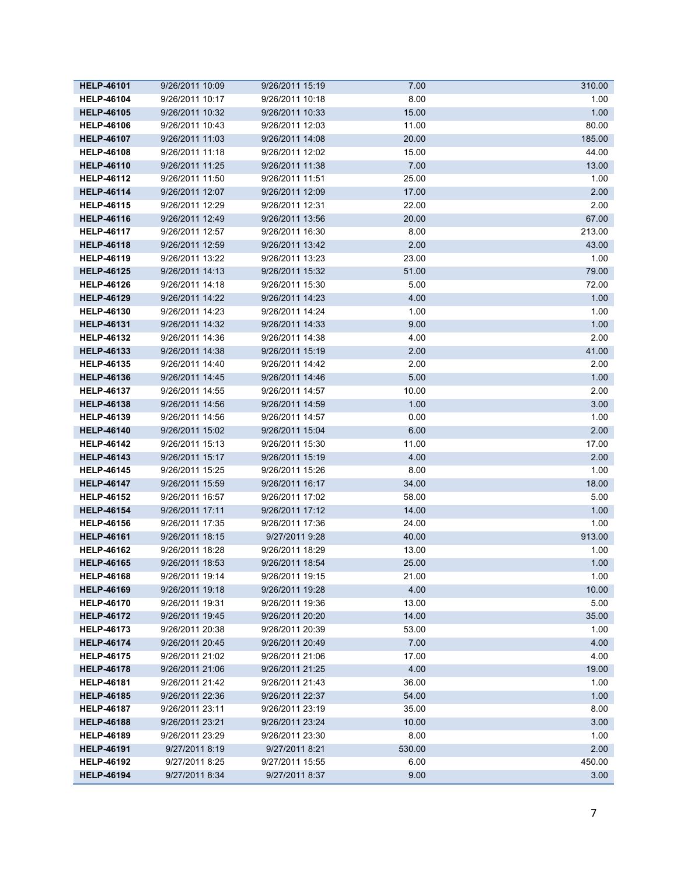| <b>HELP-46101</b> | 9/26/2011 10:09 | 9/26/2011 15:19 | 7.00   | 310.00 |
|-------------------|-----------------|-----------------|--------|--------|
| <b>HELP-46104</b> | 9/26/2011 10:17 | 9/26/2011 10:18 | 8.00   | 1.00   |
| <b>HELP-46105</b> | 9/26/2011 10:32 | 9/26/2011 10:33 | 15.00  | 1.00   |
| <b>HELP-46106</b> | 9/26/2011 10:43 | 9/26/2011 12:03 | 11.00  | 80.00  |
| <b>HELP-46107</b> | 9/26/2011 11:03 | 9/26/2011 14:08 | 20.00  | 185.00 |
| <b>HELP-46108</b> | 9/26/2011 11:18 | 9/26/2011 12:02 | 15.00  | 44.00  |
| <b>HELP-46110</b> | 9/26/2011 11:25 | 9/26/2011 11:38 | 7.00   | 13.00  |
| <b>HELP-46112</b> | 9/26/2011 11:50 | 9/26/2011 11:51 | 25.00  | 1.00   |
| <b>HELP-46114</b> | 9/26/2011 12:07 | 9/26/2011 12:09 | 17.00  | 2.00   |
| <b>HELP-46115</b> | 9/26/2011 12:29 | 9/26/2011 12:31 | 22.00  | 2.00   |
| <b>HELP-46116</b> | 9/26/2011 12:49 | 9/26/2011 13:56 | 20.00  | 67.00  |
| <b>HELP-46117</b> | 9/26/2011 12:57 | 9/26/2011 16:30 | 8.00   | 213.00 |
| <b>HELP-46118</b> | 9/26/2011 12:59 | 9/26/2011 13:42 | 2.00   | 43.00  |
| <b>HELP-46119</b> | 9/26/2011 13:22 | 9/26/2011 13:23 | 23.00  | 1.00   |
| <b>HELP-46125</b> | 9/26/2011 14:13 | 9/26/2011 15:32 | 51.00  | 79.00  |
| <b>HELP-46126</b> | 9/26/2011 14:18 | 9/26/2011 15:30 | 5.00   | 72.00  |
| <b>HELP-46129</b> | 9/26/2011 14:22 | 9/26/2011 14:23 | 4.00   | 1.00   |
| <b>HELP-46130</b> | 9/26/2011 14:23 | 9/26/2011 14:24 | 1.00   | 1.00   |
| <b>HELP-46131</b> | 9/26/2011 14:32 | 9/26/2011 14:33 | 9.00   | 1.00   |
| <b>HELP-46132</b> | 9/26/2011 14:36 | 9/26/2011 14:38 | 4.00   | 2.00   |
| <b>HELP-46133</b> | 9/26/2011 14:38 | 9/26/2011 15:19 | 2.00   | 41.00  |
| <b>HELP-46135</b> | 9/26/2011 14:40 | 9/26/2011 14:42 | 2.00   | 2.00   |
| <b>HELP-46136</b> | 9/26/2011 14:45 | 9/26/2011 14:46 | 5.00   | 1.00   |
| <b>HELP-46137</b> | 9/26/2011 14:55 | 9/26/2011 14:57 | 10.00  | 2.00   |
| <b>HELP-46138</b> | 9/26/2011 14:56 | 9/26/2011 14:59 | 1.00   | 3.00   |
| <b>HELP-46139</b> | 9/26/2011 14:56 | 9/26/2011 14:57 | 0.00   | 1.00   |
| <b>HELP-46140</b> | 9/26/2011 15:02 | 9/26/2011 15:04 | 6.00   | 2.00   |
| <b>HELP-46142</b> | 9/26/2011 15:13 | 9/26/2011 15:30 | 11.00  | 17.00  |
| <b>HELP-46143</b> | 9/26/2011 15:17 | 9/26/2011 15:19 | 4.00   | 2.00   |
| <b>HELP-46145</b> | 9/26/2011 15:25 | 9/26/2011 15:26 | 8.00   | 1.00   |
| <b>HELP-46147</b> | 9/26/2011 15:59 | 9/26/2011 16:17 | 34.00  | 18.00  |
| <b>HELP-46152</b> | 9/26/2011 16:57 | 9/26/2011 17:02 | 58.00  | 5.00   |
| <b>HELP-46154</b> | 9/26/2011 17:11 | 9/26/2011 17:12 | 14.00  | 1.00   |
| <b>HELP-46156</b> | 9/26/2011 17:35 | 9/26/2011 17:36 | 24.00  | 1.00   |
| <b>HELP-46161</b> | 9/26/2011 18:15 | 9/27/2011 9:28  | 40.00  | 913.00 |
| <b>HELP-46162</b> | 9/26/2011 18:28 | 9/26/2011 18:29 | 13.00  | 1.00   |
| <b>HELP-46165</b> | 9/26/2011 18:53 | 9/26/2011 18:54 | 25.00  | 1.00   |
| <b>HELP-46168</b> | 9/26/2011 19:14 | 9/26/2011 19:15 | 21.00  | 1.00   |
| <b>HELP-46169</b> | 9/26/2011 19:18 | 9/26/2011 19:28 | 4.00   | 10.00  |
| <b>HELP-46170</b> | 9/26/2011 19:31 | 9/26/2011 19:36 | 13.00  | 5.00   |
| <b>HELP-46172</b> | 9/26/2011 19:45 | 9/26/2011 20:20 | 14.00  | 35.00  |
| <b>HELP-46173</b> | 9/26/2011 20:38 | 9/26/2011 20:39 | 53.00  | 1.00   |
| <b>HELP-46174</b> | 9/26/2011 20:45 | 9/26/2011 20:49 | 7.00   | 4.00   |
| <b>HELP-46175</b> | 9/26/2011 21:02 | 9/26/2011 21:06 | 17.00  | 4.00   |
| <b>HELP-46178</b> | 9/26/2011 21:06 | 9/26/2011 21:25 | 4.00   | 19.00  |
| <b>HELP-46181</b> | 9/26/2011 21:42 | 9/26/2011 21:43 | 36.00  | 1.00   |
| <b>HELP-46185</b> | 9/26/2011 22:36 | 9/26/2011 22:37 | 54.00  | 1.00   |
| <b>HELP-46187</b> | 9/26/2011 23:11 | 9/26/2011 23:19 | 35.00  | 8.00   |
| <b>HELP-46188</b> | 9/26/2011 23:21 | 9/26/2011 23:24 | 10.00  | 3.00   |
| <b>HELP-46189</b> | 9/26/2011 23:29 | 9/26/2011 23:30 | 8.00   | 1.00   |
| <b>HELP-46191</b> | 9/27/2011 8:19  | 9/27/2011 8:21  | 530.00 | 2.00   |
| <b>HELP-46192</b> | 9/27/2011 8:25  | 9/27/2011 15:55 | 6.00   | 450.00 |
| <b>HELP-46194</b> | 9/27/2011 8:34  | 9/27/2011 8:37  | 9.00   | 3.00   |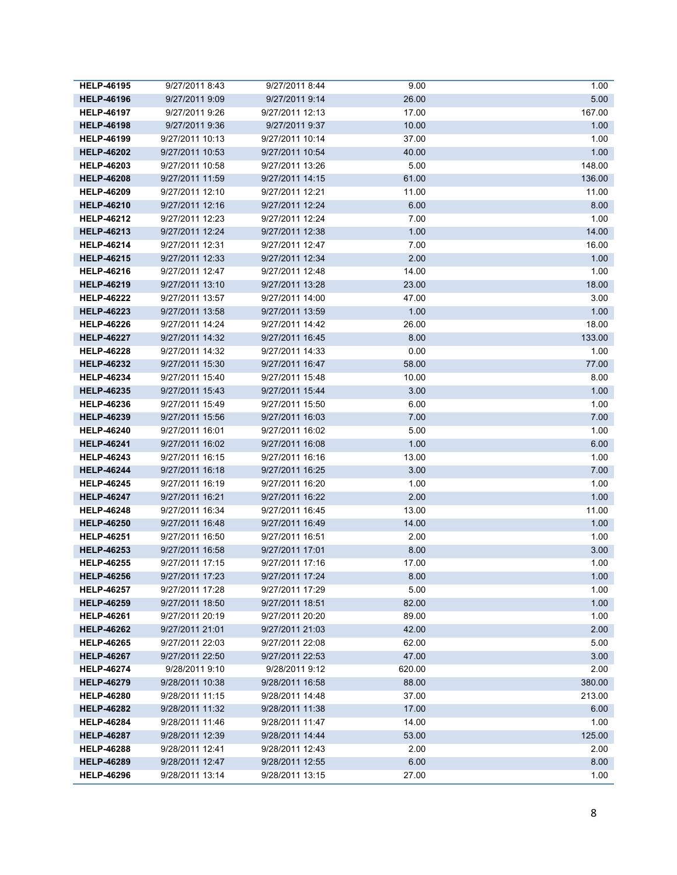| <b>HELP-46195</b> | 9/27/2011 8:43  | 9/27/2011 8:44  | 9.00   | 1.00   |
|-------------------|-----------------|-----------------|--------|--------|
| <b>HELP-46196</b> | 9/27/2011 9:09  | 9/27/2011 9:14  | 26.00  | 5.00   |
| <b>HELP-46197</b> | 9/27/2011 9:26  | 9/27/2011 12:13 | 17.00  | 167.00 |
| <b>HELP-46198</b> | 9/27/2011 9:36  | 9/27/2011 9:37  | 10.00  | 1.00   |
| <b>HELP-46199</b> | 9/27/2011 10:13 | 9/27/2011 10:14 | 37.00  | 1.00   |
| <b>HELP-46202</b> | 9/27/2011 10:53 | 9/27/2011 10:54 | 40.00  | 1.00   |
| <b>HELP-46203</b> | 9/27/2011 10:58 | 9/27/2011 13:26 | 5.00   | 148.00 |
| <b>HELP-46208</b> | 9/27/2011 11:59 | 9/27/2011 14:15 | 61.00  | 136.00 |
| <b>HELP-46209</b> | 9/27/2011 12:10 | 9/27/2011 12:21 | 11.00  | 11.00  |
| <b>HELP-46210</b> | 9/27/2011 12:16 | 9/27/2011 12:24 | 6.00   | 8.00   |
| <b>HELP-46212</b> | 9/27/2011 12:23 | 9/27/2011 12:24 | 7.00   | 1.00   |
| <b>HELP-46213</b> | 9/27/2011 12:24 | 9/27/2011 12:38 | 1.00   | 14.00  |
| <b>HELP-46214</b> | 9/27/2011 12:31 | 9/27/2011 12:47 | 7.00   | 16.00  |
| <b>HELP-46215</b> | 9/27/2011 12:33 | 9/27/2011 12:34 | 2.00   | 1.00   |
| <b>HELP-46216</b> | 9/27/2011 12:47 | 9/27/2011 12:48 | 14.00  | 1.00   |
| <b>HELP-46219</b> | 9/27/2011 13:10 | 9/27/2011 13:28 | 23.00  | 18.00  |
| <b>HELP-46222</b> | 9/27/2011 13:57 | 9/27/2011 14:00 | 47.00  | 3.00   |
| <b>HELP-46223</b> | 9/27/2011 13:58 | 9/27/2011 13:59 | 1.00   | 1.00   |
| <b>HELP-46226</b> | 9/27/2011 14:24 | 9/27/2011 14:42 | 26.00  | 18.00  |
| <b>HELP-46227</b> | 9/27/2011 14:32 | 9/27/2011 16:45 | 8.00   | 133.00 |
| <b>HELP-46228</b> | 9/27/2011 14:32 | 9/27/2011 14:33 | 0.00   | 1.00   |
| <b>HELP-46232</b> | 9/27/2011 15:30 | 9/27/2011 16:47 | 58.00  | 77.00  |
| <b>HELP-46234</b> | 9/27/2011 15:40 | 9/27/2011 15:48 | 10.00  | 8.00   |
| <b>HELP-46235</b> | 9/27/2011 15:43 | 9/27/2011 15:44 | 3.00   | 1.00   |
| <b>HELP-46236</b> | 9/27/2011 15:49 | 9/27/2011 15:50 | 6.00   | 1.00   |
| <b>HELP-46239</b> | 9/27/2011 15:56 | 9/27/2011 16:03 | 7.00   | 7.00   |
| <b>HELP-46240</b> | 9/27/2011 16:01 | 9/27/2011 16:02 | 5.00   | 1.00   |
| <b>HELP-46241</b> | 9/27/2011 16:02 | 9/27/2011 16:08 | 1.00   | 6.00   |
| <b>HELP-46243</b> | 9/27/2011 16:15 | 9/27/2011 16:16 | 13.00  | 1.00   |
| <b>HELP-46244</b> | 9/27/2011 16:18 | 9/27/2011 16:25 | 3.00   | 7.00   |
| <b>HELP-46245</b> | 9/27/2011 16:19 | 9/27/2011 16:20 | 1.00   | 1.00   |
| <b>HELP-46247</b> | 9/27/2011 16:21 | 9/27/2011 16:22 | 2.00   | 1.00   |
| <b>HELP-46248</b> | 9/27/2011 16:34 | 9/27/2011 16:45 | 13.00  | 11.00  |
| <b>HELP-46250</b> | 9/27/2011 16:48 | 9/27/2011 16:49 | 14.00  | 1.00   |
| <b>HELP-46251</b> | 9/27/2011 16:50 | 9/27/2011 16:51 | 2.00   | 1.00   |
| <b>HELP-46253</b> | 9/27/2011 16:58 | 9/27/2011 17:01 | 8.00   | 3.00   |
| <b>HELP-46255</b> | 9/27/2011 17:15 | 9/27/2011 17:16 | 17.00  | 1.00   |
| <b>HELP-46256</b> | 9/27/2011 17:23 | 9/27/2011 17:24 | 8.00   | 1.00   |
| <b>HELP-46257</b> | 9/27/2011 17:28 | 9/27/2011 17:29 | 5.00   | 1.00   |
| <b>HELP-46259</b> | 9/27/2011 18:50 | 9/27/2011 18:51 | 82.00  | 1.00   |
| <b>HELP-46261</b> | 9/27/2011 20:19 | 9/27/2011 20:20 | 89.00  | 1.00   |
| <b>HELP-46262</b> | 9/27/2011 21:01 | 9/27/2011 21:03 | 42.00  | 2.00   |
| <b>HELP-46265</b> | 9/27/2011 22:03 | 9/27/2011 22:08 | 62.00  | 5.00   |
| <b>HELP-46267</b> | 9/27/2011 22:50 | 9/27/2011 22:53 | 47.00  | 3.00   |
| <b>HELP-46274</b> | 9/28/2011 9:10  | 9/28/2011 9:12  | 620.00 | 2.00   |
| <b>HELP-46279</b> | 9/28/2011 10:38 | 9/28/2011 16:58 | 88.00  | 380.00 |
| <b>HELP-46280</b> | 9/28/2011 11:15 | 9/28/2011 14:48 | 37.00  | 213.00 |
| <b>HELP-46282</b> | 9/28/2011 11:32 | 9/28/2011 11:38 | 17.00  | 6.00   |
| <b>HELP-46284</b> | 9/28/2011 11:46 | 9/28/2011 11:47 | 14.00  | 1.00   |
| <b>HELP-46287</b> | 9/28/2011 12:39 | 9/28/2011 14:44 | 53.00  | 125.00 |
| <b>HELP-46288</b> | 9/28/2011 12:41 | 9/28/2011 12:43 | 2.00   | 2.00   |
| <b>HELP-46289</b> | 9/28/2011 12:47 | 9/28/2011 12:55 | 6.00   | 8.00   |
| <b>HELP-46296</b> | 9/28/2011 13:14 | 9/28/2011 13:15 | 27.00  | 1.00   |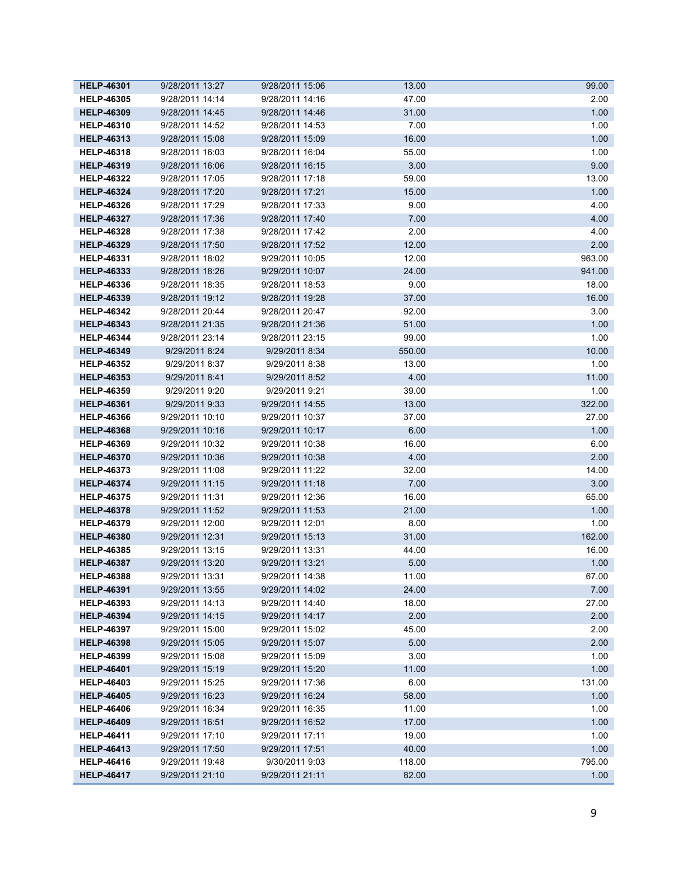| <b>HELP-46301</b> | 9/28/2011 13:27 | 9/28/2011 15:06 | 13.00  | 99.00  |
|-------------------|-----------------|-----------------|--------|--------|
| <b>HELP-46305</b> | 9/28/2011 14:14 | 9/28/2011 14:16 | 47.00  | 2.00   |
| <b>HELP-46309</b> | 9/28/2011 14:45 | 9/28/2011 14:46 | 31.00  | 1.00   |
| <b>HELP-46310</b> | 9/28/2011 14:52 | 9/28/2011 14:53 | 7.00   | 1.00   |
| <b>HELP-46313</b> | 9/28/2011 15:08 | 9/28/2011 15:09 | 16.00  | 1.00   |
| <b>HELP-46318</b> | 9/28/2011 16:03 | 9/28/2011 16:04 | 55.00  | 1.00   |
| <b>HELP-46319</b> | 9/28/2011 16:06 | 9/28/2011 16:15 | 3.00   | 9.00   |
| <b>HELP-46322</b> | 9/28/2011 17:05 | 9/28/2011 17:18 | 59.00  | 13.00  |
| <b>HELP-46324</b> | 9/28/2011 17:20 | 9/28/2011 17:21 | 15.00  | 1.00   |
| <b>HELP-46326</b> | 9/28/2011 17:29 | 9/28/2011 17:33 | 9.00   | 4.00   |
| <b>HELP-46327</b> | 9/28/2011 17:36 | 9/28/2011 17:40 | 7.00   | 4.00   |
| <b>HELP-46328</b> | 9/28/2011 17:38 | 9/28/2011 17:42 | 2.00   | 4.00   |
| <b>HELP-46329</b> | 9/28/2011 17:50 | 9/28/2011 17:52 | 12.00  | 2.00   |
| <b>HELP-46331</b> | 9/28/2011 18:02 | 9/29/2011 10:05 | 12.00  | 963.00 |
| <b>HELP-46333</b> | 9/28/2011 18:26 | 9/29/2011 10:07 | 24.00  | 941.00 |
| <b>HELP-46336</b> | 9/28/2011 18:35 | 9/28/2011 18:53 | 9.00   | 18.00  |
| <b>HELP-46339</b> | 9/28/2011 19:12 | 9/28/2011 19:28 | 37.00  | 16.00  |
| <b>HELP-46342</b> | 9/28/2011 20:44 | 9/28/2011 20:47 | 92.00  | 3.00   |
| <b>HELP-46343</b> | 9/28/2011 21:35 | 9/28/2011 21:36 | 51.00  | 1.00   |
| <b>HELP-46344</b> | 9/28/2011 23:14 | 9/28/2011 23:15 | 99.00  | 1.00   |
| <b>HELP-46349</b> | 9/29/2011 8:24  | 9/29/2011 8:34  | 550.00 | 10.00  |
| <b>HELP-46352</b> | 9/29/2011 8:37  | 9/29/2011 8:38  | 13.00  | 1.00   |
| <b>HELP-46353</b> | 9/29/2011 8:41  | 9/29/2011 8:52  | 4.00   | 11.00  |
| <b>HELP-46359</b> | 9/29/2011 9:20  | 9/29/2011 9:21  | 39.00  | 1.00   |
| <b>HELP-46361</b> | 9/29/2011 9:33  | 9/29/2011 14:55 | 13.00  | 322.00 |
| <b>HELP-46366</b> | 9/29/2011 10:10 | 9/29/2011 10:37 | 37.00  | 27.00  |
| <b>HELP-46368</b> | 9/29/2011 10:16 | 9/29/2011 10:17 | 6.00   | 1.00   |
| <b>HELP-46369</b> | 9/29/2011 10:32 | 9/29/2011 10:38 | 16.00  | 6.00   |
| <b>HELP-46370</b> | 9/29/2011 10:36 | 9/29/2011 10:38 | 4.00   | 2.00   |
| <b>HELP-46373</b> | 9/29/2011 11:08 | 9/29/2011 11:22 | 32.00  | 14.00  |
| <b>HELP-46374</b> | 9/29/2011 11:15 | 9/29/2011 11:18 | 7.00   | 3.00   |
| <b>HELP-46375</b> | 9/29/2011 11:31 | 9/29/2011 12:36 | 16.00  | 65.00  |
| <b>HELP-46378</b> | 9/29/2011 11:52 | 9/29/2011 11:53 | 21.00  | 1.00   |
| <b>HELP-46379</b> | 9/29/2011 12:00 | 9/29/2011 12:01 | 8.00   | 1.00   |
| <b>HELP-46380</b> | 9/29/2011 12:31 | 9/29/2011 15:13 | 31.00  | 162.00 |
| <b>HELP-46385</b> | 9/29/2011 13:15 | 9/29/2011 13:31 | 44.00  | 16.00  |
| <b>HELP-46387</b> | 9/29/2011 13:20 | 9/29/2011 13:21 | 5.00   | 1.00   |
| <b>HELP-46388</b> | 9/29/2011 13:31 | 9/29/2011 14:38 | 11.00  | 67.00  |
| <b>HELP-46391</b> | 9/29/2011 13:55 | 9/29/2011 14:02 | 24.00  | 7.00   |
| <b>HELP-46393</b> | 9/29/2011 14:13 | 9/29/2011 14:40 | 18.00  | 27.00  |
| <b>HELP-46394</b> | 9/29/2011 14:15 | 9/29/2011 14:17 | 2.00   | 2.00   |
| <b>HELP-46397</b> | 9/29/2011 15:00 | 9/29/2011 15:02 | 45.00  | 2.00   |
| <b>HELP-46398</b> | 9/29/2011 15:05 | 9/29/2011 15:07 | 5.00   | 2.00   |
| <b>HELP-46399</b> | 9/29/2011 15:08 | 9/29/2011 15:09 | 3.00   | 1.00   |
| <b>HELP-46401</b> | 9/29/2011 15:19 | 9/29/2011 15:20 | 11.00  | 1.00   |
| <b>HELP-46403</b> | 9/29/2011 15:25 | 9/29/2011 17:36 | 6.00   | 131.00 |
| <b>HELP-46405</b> | 9/29/2011 16:23 | 9/29/2011 16:24 | 58.00  | 1.00   |
| <b>HELP-46406</b> | 9/29/2011 16:34 | 9/29/2011 16:35 | 11.00  | 1.00   |
| <b>HELP-46409</b> | 9/29/2011 16:51 | 9/29/2011 16:52 | 17.00  | 1.00   |
| <b>HELP-46411</b> | 9/29/2011 17:10 | 9/29/2011 17:11 | 19.00  | 1.00   |
| <b>HELP-46413</b> | 9/29/2011 17:50 | 9/29/2011 17:51 | 40.00  | 1.00   |
| <b>HELP-46416</b> | 9/29/2011 19:48 | 9/30/2011 9:03  | 118.00 | 795.00 |
| <b>HELP-46417</b> | 9/29/2011 21:10 | 9/29/2011 21:11 | 82.00  | 1.00   |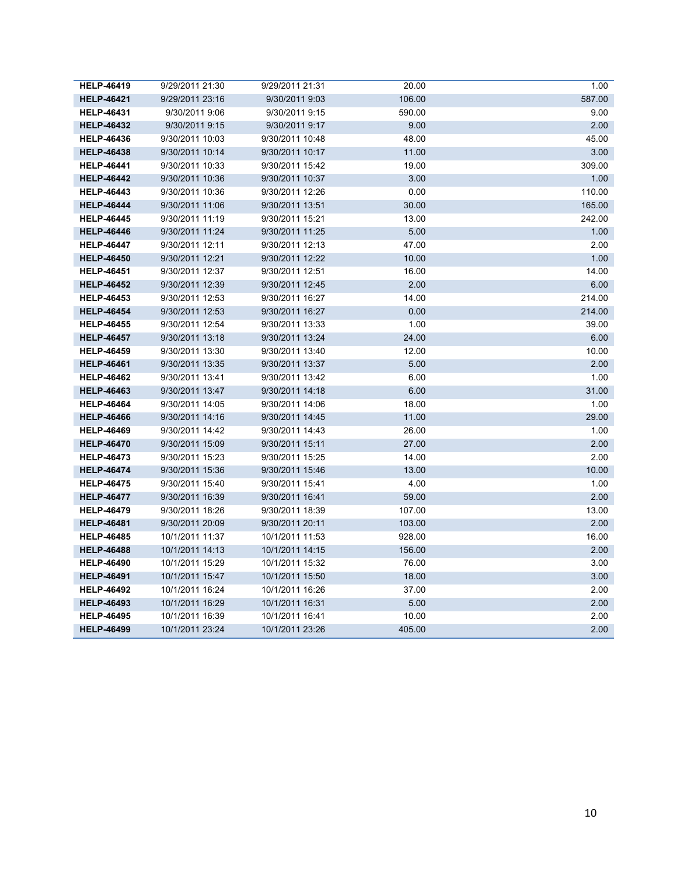| <b>HELP-46419</b> | 9/29/2011 21:30 | 9/29/2011 21:31 | 20.00  | 1.00   |
|-------------------|-----------------|-----------------|--------|--------|
| <b>HELP-46421</b> | 9/29/2011 23:16 | 9/30/2011 9:03  | 106.00 | 587.00 |
| <b>HELP-46431</b> | 9/30/2011 9:06  | 9/30/2011 9:15  | 590.00 | 9.00   |
| <b>HELP-46432</b> | 9/30/2011 9:15  | 9/30/2011 9:17  | 9.00   | 2.00   |
| <b>HELP-46436</b> | 9/30/2011 10:03 | 9/30/2011 10:48 | 48.00  | 45.00  |
| <b>HELP-46438</b> | 9/30/2011 10:14 | 9/30/2011 10:17 | 11.00  | 3.00   |
| <b>HELP-46441</b> | 9/30/2011 10:33 | 9/30/2011 15:42 | 19.00  | 309.00 |
| <b>HELP-46442</b> | 9/30/2011 10:36 | 9/30/2011 10:37 | 3.00   | 1.00   |
| <b>HELP-46443</b> | 9/30/2011 10:36 | 9/30/2011 12:26 | 0.00   | 110.00 |
| <b>HELP-46444</b> | 9/30/2011 11:06 | 9/30/2011 13:51 | 30.00  | 165.00 |
| <b>HELP-46445</b> | 9/30/2011 11:19 | 9/30/2011 15:21 | 13.00  | 242.00 |
| <b>HELP-46446</b> | 9/30/2011 11:24 | 9/30/2011 11:25 | 5.00   | 1.00   |
| <b>HELP-46447</b> | 9/30/2011 12:11 | 9/30/2011 12:13 | 47.00  | 2.00   |
| <b>HELP-46450</b> | 9/30/2011 12:21 | 9/30/2011 12:22 | 10.00  | 1.00   |
| <b>HELP-46451</b> | 9/30/2011 12:37 | 9/30/2011 12:51 | 16.00  | 14.00  |
| <b>HELP-46452</b> | 9/30/2011 12:39 | 9/30/2011 12:45 | 2.00   | 6.00   |
| <b>HELP-46453</b> | 9/30/2011 12:53 | 9/30/2011 16:27 | 14.00  | 214.00 |
| <b>HELP-46454</b> | 9/30/2011 12:53 | 9/30/2011 16:27 | 0.00   | 214.00 |
| <b>HELP-46455</b> | 9/30/2011 12:54 | 9/30/2011 13:33 | 1.00   | 39.00  |
| <b>HELP-46457</b> | 9/30/2011 13:18 | 9/30/2011 13:24 | 24.00  | 6.00   |
| <b>HELP-46459</b> | 9/30/2011 13:30 | 9/30/2011 13:40 | 12.00  | 10.00  |
| <b>HELP-46461</b> | 9/30/2011 13:35 | 9/30/2011 13:37 | 5.00   | 2.00   |
| <b>HELP-46462</b> | 9/30/2011 13:41 | 9/30/2011 13:42 | 6.00   | 1.00   |
| <b>HELP-46463</b> | 9/30/2011 13:47 | 9/30/2011 14:18 | 6.00   | 31.00  |
| <b>HELP-46464</b> | 9/30/2011 14:05 | 9/30/2011 14:06 | 18.00  | 1.00   |
| <b>HELP-46466</b> | 9/30/2011 14:16 | 9/30/2011 14:45 | 11.00  | 29.00  |
| <b>HELP-46469</b> | 9/30/2011 14:42 | 9/30/2011 14:43 | 26.00  | 1.00   |
| <b>HELP-46470</b> | 9/30/2011 15:09 | 9/30/2011 15:11 | 27.00  | 2.00   |
| <b>HELP-46473</b> | 9/30/2011 15:23 | 9/30/2011 15:25 | 14.00  | 2.00   |
| <b>HELP-46474</b> | 9/30/2011 15:36 | 9/30/2011 15:46 | 13.00  | 10.00  |
| <b>HELP-46475</b> | 9/30/2011 15:40 | 9/30/2011 15:41 | 4.00   | 1.00   |
| <b>HELP-46477</b> | 9/30/2011 16:39 | 9/30/2011 16:41 | 59.00  | 2.00   |
| <b>HELP-46479</b> | 9/30/2011 18:26 | 9/30/2011 18:39 | 107.00 | 13.00  |
| <b>HELP-46481</b> | 9/30/2011 20:09 | 9/30/2011 20:11 | 103.00 | 2.00   |
| <b>HELP-46485</b> | 10/1/2011 11:37 | 10/1/2011 11:53 | 928.00 | 16.00  |
| <b>HELP-46488</b> | 10/1/2011 14:13 | 10/1/2011 14:15 | 156.00 | 2.00   |
| <b>HELP-46490</b> | 10/1/2011 15:29 | 10/1/2011 15:32 | 76.00  | 3.00   |
| <b>HELP-46491</b> | 10/1/2011 15:47 | 10/1/2011 15:50 | 18.00  | 3.00   |
| <b>HELP-46492</b> | 10/1/2011 16:24 | 10/1/2011 16:26 | 37.00  | 2.00   |
| <b>HELP-46493</b> | 10/1/2011 16:29 | 10/1/2011 16:31 | 5.00   | 2.00   |
| <b>HELP-46495</b> | 10/1/2011 16:39 | 10/1/2011 16:41 | 10.00  | 2.00   |
| <b>HELP-46499</b> | 10/1/2011 23:24 | 10/1/2011 23:26 | 405.00 | 2.00   |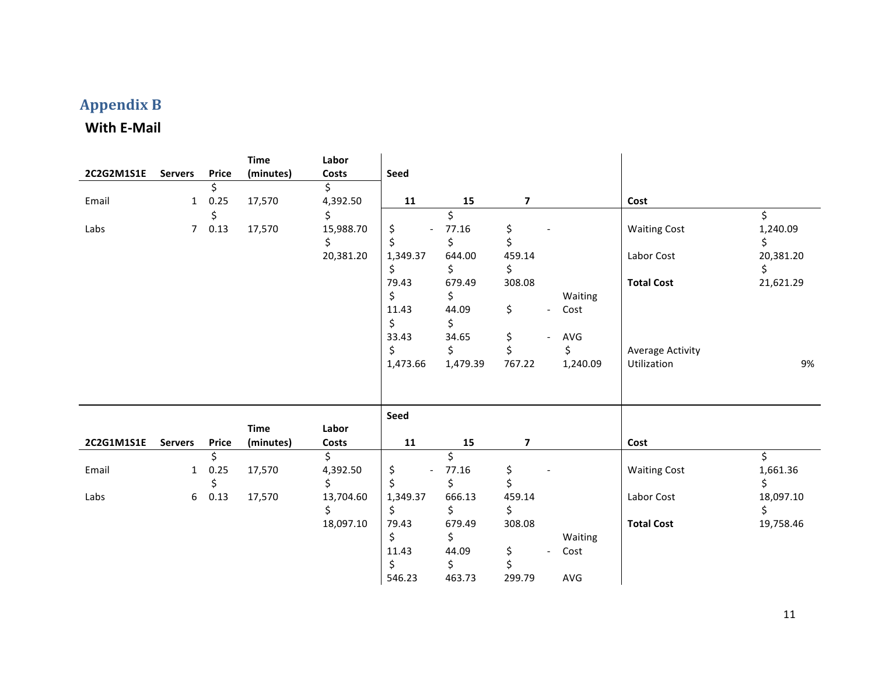## **Appendix(B**

#### **With E-Mail**

| 2C2G2M1S1E | <b>Servers</b> | <b>Price</b> | <b>Time</b><br>(minutes) | Labor<br><b>Costs</b> | Seed                           |          |                |                                            |                         |           |
|------------|----------------|--------------|--------------------------|-----------------------|--------------------------------|----------|----------------|--------------------------------------------|-------------------------|-----------|
|            |                | \$           |                          | \$                    |                                |          |                |                                            |                         |           |
| Email      | $\mathbf{1}$   | 0.25         | 17,570                   | 4,392.50              | 11                             | 15       | 7              |                                            | Cost                    |           |
|            |                | \$           |                          | \$                    |                                | \$       |                |                                            |                         | \$        |
| Labs       | 7 <sup>7</sup> | 0.13         | 17,570                   | 15,988.70             | \$<br>$\overline{\phantom{a}}$ | 77.16    | \$             |                                            | <b>Waiting Cost</b>     | 1,240.09  |
|            |                |              |                          | \$                    | \$                             | \$       | \$             |                                            |                         | \$        |
|            |                |              |                          | 20,381.20             | 1,349.37                       | 644.00   | 459.14         |                                            | Labor Cost              | 20,381.20 |
|            |                |              |                          |                       | \$                             | \$       | \$             |                                            |                         | \$        |
|            |                |              |                          |                       | 79.43                          | 679.49   | 308.08         |                                            | <b>Total Cost</b>       | 21,621.29 |
|            |                |              |                          |                       | \$                             | \$       |                | Waiting                                    |                         |           |
|            |                |              |                          |                       | 11.43                          | 44.09    | \$             | Cost<br>$\overline{\phantom{a}}$           |                         |           |
|            |                |              |                          |                       | \$                             | \$       |                |                                            |                         |           |
|            |                |              |                          |                       | 33.43                          | 34.65    | \$             | $\mathsf{AVG}$<br>$\overline{\phantom{a}}$ |                         |           |
|            |                |              |                          |                       | \$                             | \$       | \$             | \$                                         | <b>Average Activity</b> |           |
|            |                |              |                          |                       | 1,473.66                       | 1,479.39 | 767.22         | 1,240.09                                   | Utilization             | 9%        |
|            |                |              |                          |                       |                                |          |                |                                            |                         |           |
|            |                |              |                          |                       | Seed                           |          |                |                                            |                         |           |
|            |                |              | <b>Time</b>              | Labor                 |                                |          |                |                                            |                         |           |
| 2C2G1M1S1E | <b>Servers</b> | <b>Price</b> | (minutes)                | Costs                 | 11                             | 15       | $\overline{ }$ |                                            | Cost                    |           |
|            |                | \$           |                          | \$                    |                                | \$       |                |                                            |                         | \$        |
| Email      | $\mathbf{1}$   | 0.25         | 17,570                   | 4,392.50              | \$<br>$\overline{\phantom{a}}$ | 77.16    | \$             |                                            | <b>Waiting Cost</b>     | 1,661.36  |
|            |                | \$           |                          | \$                    | \$                             | \$       | \$             |                                            |                         | \$        |
| Labs       | 6              | 0.13         | 17,570                   | 13,704.60             | 1,349.37                       | 666.13   | 459.14         |                                            | Labor Cost              | 18,097.10 |
|            |                |              |                          | \$                    | \$                             | \$       | \$             |                                            |                         | \$        |
|            |                |              |                          | 18,097.10             | 79.43                          | 679.49   | 308.08         |                                            | <b>Total Cost</b>       | 19,758.46 |
|            |                |              |                          |                       | \$                             | \$       |                | Waiting                                    |                         |           |
|            |                |              |                          |                       | 11.43                          | 44.09    | \$             | Cost<br>$\overline{\phantom{a}}$           |                         |           |
|            |                |              |                          |                       | \$                             | \$       | \$             |                                            |                         |           |
|            |                |              |                          |                       | 546.23                         | 463.73   | 299.79         | AVG                                        |                         |           |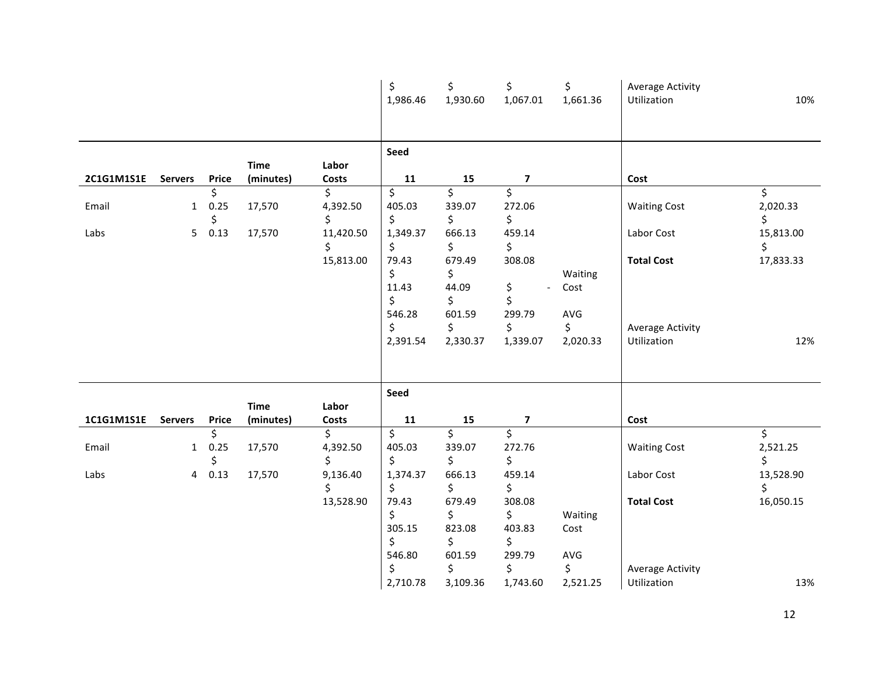|            |                |                  |                          |                              | \$<br>1,986.46                                                            | \$<br>1,930.60                                                           | \$<br>1,067.01                                                                             | \$<br>1,661.36                           | <b>Average Activity</b><br>Utilization                                    | 10%                                 |
|------------|----------------|------------------|--------------------------|------------------------------|---------------------------------------------------------------------------|--------------------------------------------------------------------------|--------------------------------------------------------------------------------------------|------------------------------------------|---------------------------------------------------------------------------|-------------------------------------|
| 2C1G1M1S1E | <b>Servers</b> | Price            | <b>Time</b><br>(minutes) | Labor<br>Costs               | Seed<br>${\bf 11}$                                                        | 15                                                                       | $\overline{\mathbf{z}}$                                                                    |                                          | Cost                                                                      |                                     |
| Email      | $\mathbf{1}$   | \$<br>0.25<br>\$ | 17,570                   | \$<br>4,392.50<br>\$         | \$<br>405.03<br>\$                                                        | \$<br>339.07<br>\$                                                       | \$<br>272.06<br>\$                                                                         |                                          | <b>Waiting Cost</b>                                                       | \$<br>2,020.33<br>\$                |
| Labs       | 5              | 0.13             | 17,570                   | 11,420.50<br>\$<br>15,813.00 | 1,349.37<br>\$<br>79.43<br>\$<br>11.43<br>\$<br>546.28<br>\$<br>2,391.54  | 666.13<br>\$<br>679.49<br>\$<br>44.09<br>\$<br>601.59<br>\$<br>2,330.37  | 459.14<br>\$<br>308.08<br>\$<br>$\overline{\phantom{0}}$<br>\$<br>299.79<br>\$<br>1,339.07 | Waiting<br>Cost<br>AVG<br>\$<br>2,020.33 | Labor Cost<br><b>Total Cost</b><br><b>Average Activity</b><br>Utilization | 15,813.00<br>\$<br>17,833.33<br>12% |
|            |                |                  | <b>Time</b>              | Labor                        | Seed                                                                      |                                                                          |                                                                                            |                                          |                                                                           |                                     |
| 1C1G1M1S1E | <b>Servers</b> | <b>Price</b>     | (minutes)                | Costs                        | 11                                                                        | 15                                                                       | 7                                                                                          |                                          | Cost                                                                      |                                     |
| Email      | $\mathbf{1}$   | \$<br>0.25<br>\$ | 17,570                   | \$<br>4,392.50<br>\$         | \$<br>405.03<br>\$                                                        | \$<br>339.07<br>\$                                                       | $\overline{\mathsf{S}}$<br>272.76<br>\$                                                    |                                          | <b>Waiting Cost</b>                                                       | \$<br>2,521.25<br>\$                |
| Labs       | $\overline{4}$ | 0.13             | 17,570                   | 9,136.40<br>\$<br>13,528.90  | 1,374.37<br>\$<br>79.43<br>\$<br>305.15<br>\$<br>546.80<br>\$<br>2,710.78 | 666.13<br>\$<br>679.49<br>\$<br>823.08<br>\$<br>601.59<br>\$<br>3,109.36 | 459.14<br>\$<br>308.08<br>\$<br>403.83<br>\$<br>299.79<br>\$<br>1,743.60                   | Waiting<br>Cost<br>AVG<br>\$<br>2,521.25 | Labor Cost<br><b>Total Cost</b><br><b>Average Activity</b><br>Utilization | 13,528.90<br>\$<br>16,050.15<br>13% |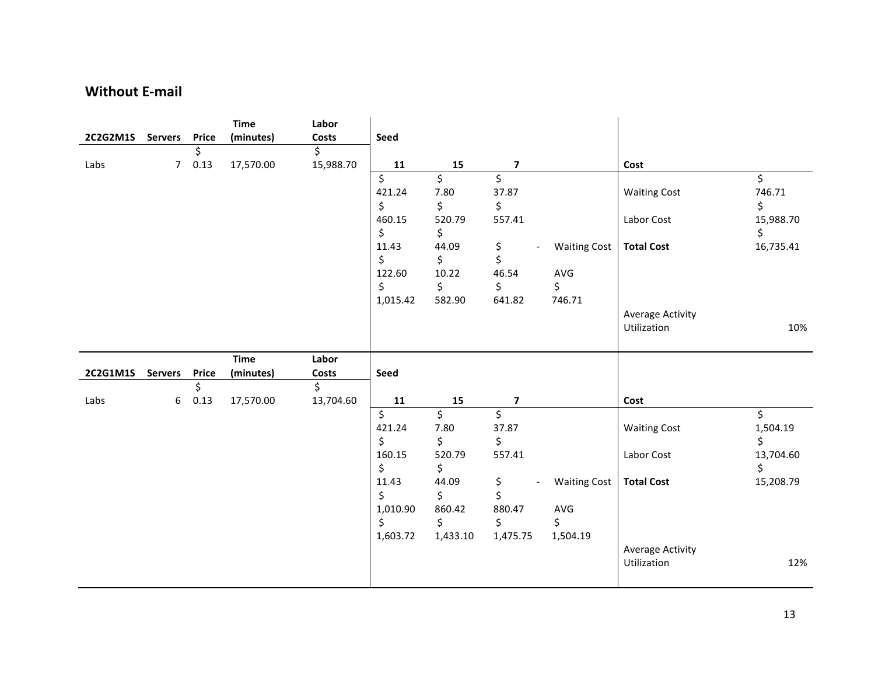#### **Without E-mail**

|          |                |              | <b>Time</b> | Labor     |          |                          |                         |                     |                         |           |
|----------|----------------|--------------|-------------|-----------|----------|--------------------------|-------------------------|---------------------|-------------------------|-----------|
| 2C2G2M1S | <b>Servers</b> | Price        | (minutes)   | Costs     | Seed     |                          |                         |                     |                         |           |
|          |                | \$.          |             | \$        |          |                          |                         |                     |                         |           |
| Labs     | 7 <sup>7</sup> | 0.13         | 17,570.00   | 15,988.70 | 11       | 15                       | $\overline{\mathbf{z}}$ |                     | Cost                    |           |
|          |                |              |             |           | \$       | $\overline{\mathcal{S}}$ | \$                      |                     |                         | \$        |
|          |                |              |             |           | 421.24   | 7.80                     | 37.87                   |                     | <b>Waiting Cost</b>     | 746.71    |
|          |                |              |             |           | \$       | \$                       | \$                      |                     |                         | \$        |
|          |                |              |             |           | 460.15   | 520.79                   | 557.41                  |                     | Labor Cost              | 15,988.70 |
|          |                |              |             |           | \$       | \$                       |                         |                     |                         | \$        |
|          |                |              |             |           | 11.43    | 44.09                    | \$                      | <b>Waiting Cost</b> | <b>Total Cost</b>       | 16,735.41 |
|          |                |              |             |           | \$       | \$                       | \$                      |                     |                         |           |
|          |                |              |             |           | 122.60   | 10.22                    | 46.54                   | AVG                 |                         |           |
|          |                |              |             |           | $\zeta$  | \$                       | \$                      | \$                  |                         |           |
|          |                |              |             |           | 1,015.42 | 582.90                   | 641.82                  | 746.71              |                         |           |
|          |                |              |             |           |          |                          |                         |                     | <b>Average Activity</b> |           |
|          |                |              |             |           |          |                          |                         |                     | Utilization             | 10%       |
|          |                |              |             |           |          |                          |                         |                     |                         |           |
|          |                |              |             |           |          |                          |                         |                     |                         |           |
|          |                |              | <b>Time</b> | Labor     |          |                          |                         |                     |                         |           |
| 2C2G1M1S | <b>Servers</b> | <b>Price</b> | (minutes)   | Costs     | Seed     |                          |                         |                     |                         |           |
|          |                | \$           |             | \$        |          |                          |                         |                     |                         |           |
| Labs     | 6              | 0.13         | 17,570.00   | 13,704.60 | 11       | 15                       | $\overline{\mathbf{z}}$ |                     | Cost                    |           |
|          |                |              |             |           | \$       | \$                       | \$                      |                     |                         | \$        |
|          |                |              |             |           | 421.24   | 7.80                     | 37.87                   |                     | <b>Waiting Cost</b>     | 1,504.19  |
|          |                |              |             |           | \$       | \$                       | \$                      |                     |                         | \$        |
|          |                |              |             |           | 160.15   | 520.79                   | 557.41                  |                     | Labor Cost              | 13,704.60 |
|          |                |              |             |           | \$       | \$                       |                         |                     |                         | \$        |
|          |                |              |             |           | 11.43    | 44.09                    | \$                      | <b>Waiting Cost</b> | <b>Total Cost</b>       | 15,208.79 |
|          |                |              |             |           | \$       | \$                       | \$                      |                     |                         |           |
|          |                |              |             |           | 1,010.90 | 860.42                   | 880.47                  | AVG                 |                         |           |
|          |                |              |             |           | \$       | \$                       | \$                      | \$                  |                         |           |
|          |                |              |             |           | 1,603.72 | 1,433.10                 | 1,475.75                | 1,504.19            |                         |           |
|          |                |              |             |           |          |                          |                         |                     | <b>Average Activity</b> |           |
|          |                |              |             |           |          |                          |                         |                     | Utilization             | 12%       |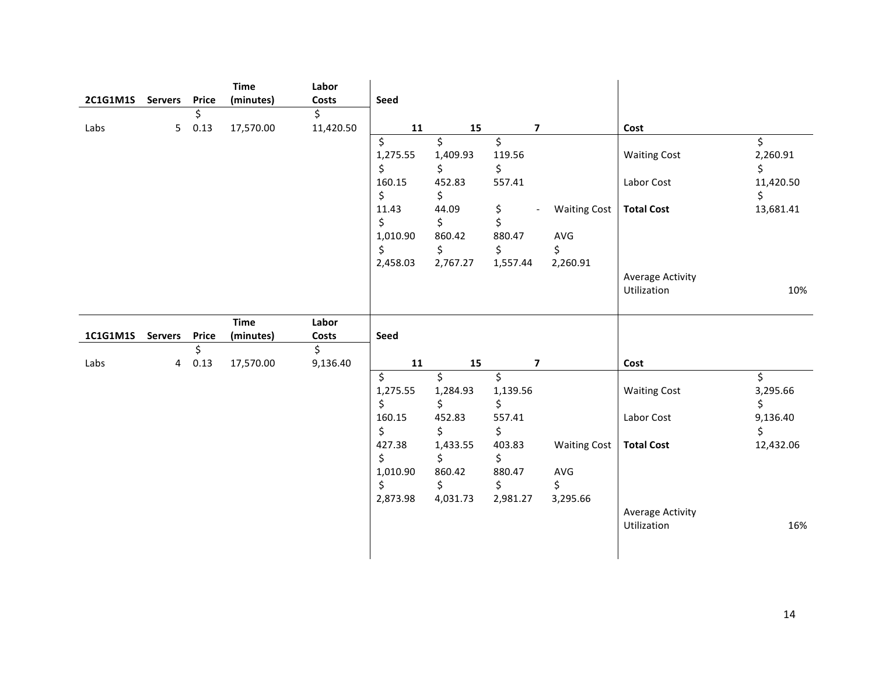| 2C1G1M1S Servers |                | <b>Price</b> | <b>Time</b> | Labor<br>Costs | Seed                                                                              |                                                                                 |                                                                      |                                                                          |                                                        |                                                      |
|------------------|----------------|--------------|-------------|----------------|-----------------------------------------------------------------------------------|---------------------------------------------------------------------------------|----------------------------------------------------------------------|--------------------------------------------------------------------------|--------------------------------------------------------|------------------------------------------------------|
|                  |                | \$           | (minutes)   | \$             |                                                                                   |                                                                                 |                                                                      |                                                                          |                                                        |                                                      |
| Labs             | 5 <sub>1</sub> | 0.13         | 17,570.00   | 11,420.50      | 11                                                                                | 15                                                                              |                                                                      | $\overline{\mathbf{z}}$                                                  | Cost                                                   |                                                      |
|                  |                |              |             |                | \$<br>1,275.55<br>\$<br>160.15<br>\$<br>11.43<br>\$<br>1,010.90<br>\$<br>2,458.03 | \$<br>1,409.93<br>\$<br>452.83<br>\$<br>44.09<br>\$<br>860.42<br>\$<br>2,767.27 | \$<br>119.56<br>\$<br>557.41<br>\$<br>\$<br>880.47<br>\$<br>1,557.44 | <b>Waiting Cost</b><br>$\overline{\phantom{a}}$<br>AVG<br>\$<br>2,260.91 | <b>Waiting Cost</b><br>Labor Cost<br><b>Total Cost</b> | \$<br>2,260.91<br>\$<br>11,420.50<br>\$<br>13,681.41 |
|                  |                |              |             |                |                                                                                   |                                                                                 |                                                                      |                                                                          | <b>Average Activity</b><br>Utilization                 | 10%                                                  |
|                  |                |              | <b>Time</b> | Labor          |                                                                                   |                                                                                 |                                                                      |                                                                          |                                                        |                                                      |
| 1C1G1M1S         | <b>Servers</b> | Price        | (minutes)   | Costs          | Seed                                                                              |                                                                                 |                                                                      |                                                                          |                                                        |                                                      |
| Labs             |                | \$<br>0.13   | 17,570.00   | \$<br>9,136.40 | 11                                                                                | 15                                                                              |                                                                      | $\overline{\mathbf{z}}$                                                  | Cost                                                   |                                                      |
|                  | 4              |              |             |                | \$                                                                                | \$                                                                              | \$                                                                   |                                                                          |                                                        | \$                                                   |
|                  |                |              |             |                | 1,275.55<br>\$                                                                    | 1,284.93<br>\$                                                                  | 1,139.56<br>\$                                                       |                                                                          | <b>Waiting Cost</b>                                    | 3,295.66<br>\$                                       |
|                  |                |              |             |                | 160.15<br>\$                                                                      | 452.83<br>\$                                                                    | 557.41<br>\$                                                         |                                                                          | Labor Cost                                             | 9,136.40<br>\$                                       |
|                  |                |              |             |                | 427.38<br>\$                                                                      | 1,433.55<br>\$                                                                  | 403.83<br>\$                                                         | <b>Waiting Cost</b>                                                      | <b>Total Cost</b>                                      | 12,432.06                                            |
|                  |                |              |             |                | 1,010.90                                                                          | 860.42                                                                          | 880.47                                                               | AVG                                                                      |                                                        |                                                      |
|                  |                |              |             |                | \$                                                                                | \$                                                                              | \$                                                                   | \$                                                                       |                                                        |                                                      |
|                  |                |              |             |                | 2,873.98                                                                          | 4,031.73                                                                        | 2,981.27                                                             | 3,295.66                                                                 | <b>Average Activity</b><br>Utilization                 | 16%                                                  |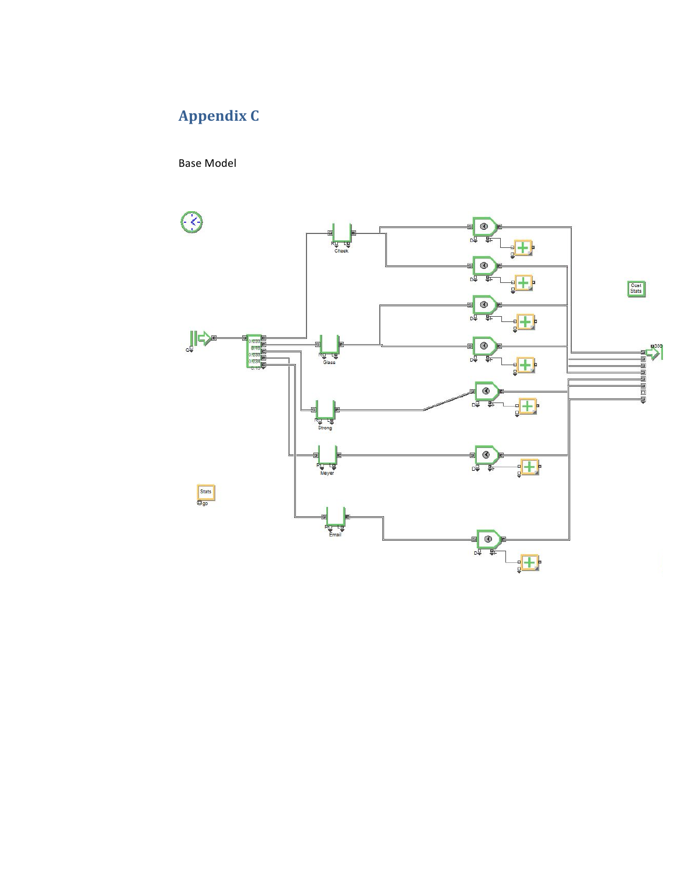## **Appendix(C**

Base Model